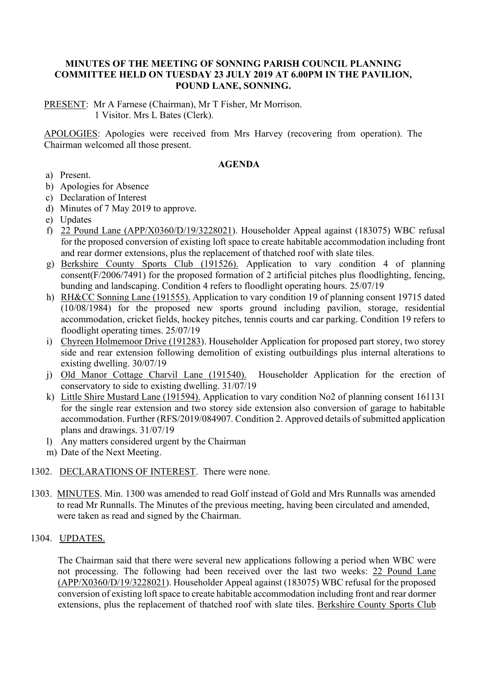#### **MINUTES OF THE MEETING OF SONNING PARISH COUNCIL PLANNING COMMITTEE HELD ON TUESDAY 23 JULY 2019 AT 6.00PM IN THE PAVILION, POUND LANE, SONNING.**

PRESENT: Mr A Farnese (Chairman), Mr T Fisher, Mr Morrison. 1 Visitor. Mrs L Bates (Clerk).

APOLOGIES: Apologies were received from Mrs Harvey (recovering from operation). The Chairman welcomed all those present.

#### **AGENDA**

- a) Present.
- b) Apologies for Absence
- c) Declaration of Interest
- d) Minutes of 7 May 2019 to approve.
- e) Updates
- f) 22 Pound Lane (APP/X0360/D/19/3228021). Householder Appeal against (183075) WBC refusal for the proposed conversion of existing loft space to create habitable accommodation including front and rear dormer extensions, plus the replacement of thatched roof with slate tiles.
- g) Berkshire County Sports Club (191526). Application to vary condition 4 of planning consent(F/2006/7491) for the proposed formation of 2 artificial pitches plus floodlighting, fencing, bunding and landscaping. Condition 4 refers to floodlight operating hours. 25/07/19
- h) RH&CC Sonning Lane (191555). Application to vary condition 19 of planning consent 19715 dated (10/08/1984) for the proposed new sports ground including pavilion, storage, residential accommodation, cricket fields, hockey pitches, tennis courts and car parking. Condition 19 refers to floodlight operating times. 25/07/19
- i) Chyreen Holmemoor Drive (191283). Householder Application for proposed part storey, two storey side and rear extension following demolition of existing outbuildings plus internal alterations to existing dwelling. 30/07/19
- j) Old Manor Cottage Charvil Lane (191540). Householder Application for the erection of conservatory to side to existing dwelling. 31/07/19
- k) Little Shire Mustard Lane (191594). Application to vary condition No2 of planning consent 161131 for the single rear extension and two storey side extension also conversion of garage to habitable accommodation. Further (RFS/2019/084907. Condition 2. Approved details of submitted application plans and drawings. 31/07/19
- l) Any matters considered urgent by the Chairman
- m) Date of the Next Meeting.
- 1302. DECLARATIONS OF INTEREST. There were none.
- 1303. MINUTES. Min. 1300 was amended to read Golf instead of Gold and Mrs Runnalls was amended to read Mr Runnalls. The Minutes of the previous meeting, having been circulated and amended, were taken as read and signed by the Chairman.

# 1304. UPDATES.

The Chairman said that there were several new applications following a period when WBC were not processing. The following had been received over the last two weeks: 22 Pound Lane (APP/X0360/D/19/3228021). Householder Appeal against (183075) WBC refusal for the proposed conversion of existing loft space to create habitable accommodation including front and rear dormer extensions, plus the replacement of thatched roof with slate tiles. Berkshire County Sports Club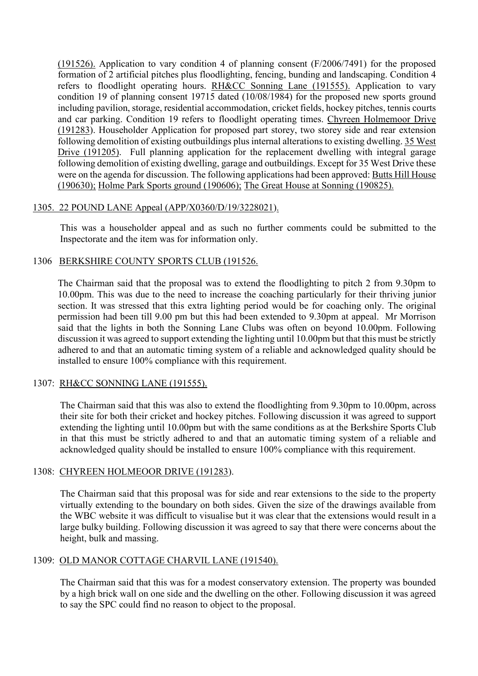(191526). Application to vary condition 4 of planning consent (F/2006/7491) for the proposed formation of 2 artificial pitches plus floodlighting, fencing, bunding and landscaping. Condition 4 refers to floodlight operating hours. RH&CC Sonning Lane (191555). Application to vary condition 19 of planning consent 19715 dated (10/08/1984) for the proposed new sports ground including pavilion, storage, residential accommodation, cricket fields, hockey pitches, tennis courts and car parking. Condition 19 refers to floodlight operating times. Chyreen Holmemoor Drive (191283). Householder Application for proposed part storey, two storey side and rear extension following demolition of existing outbuildings plus internal alterations to existing dwelling. 35 West Drive (191205). Full planning application for the replacement dwelling with integral garage following demolition of existing dwelling, garage and outbuildings. Except for 35 West Drive these were on the agenda for discussion. The following applications had been approved: Butts Hill House (190630); Holme Park Sports ground (190606); The Great House at Sonning (190825).

#### 1305. 22 POUND LANE Appeal (APP/X0360/D/19/3228021).

This was a householder appeal and as such no further comments could be submitted to the Inspectorate and the item was for information only.

# 1306 BERKSHIRE COUNTY SPORTS CLUB (191526.

The Chairman said that the proposal was to extend the floodlighting to pitch 2 from 9.30pm to 10.00pm. This was due to the need to increase the coaching particularly for their thriving junior section. It was stressed that this extra lighting period would be for coaching only. The original permission had been till 9.00 pm but this had been extended to 9.30pm at appeal. Mr Morrison said that the lights in both the Sonning Lane Clubs was often on beyond 10.00pm. Following discussion it was agreed to support extending the lighting until 10.00pm but that this must be strictly adhered to and that an automatic timing system of a reliable and acknowledged quality should be installed to ensure 100% compliance with this requirement.

# 1307: RH&CC SONNING LANE (191555).

The Chairman said that this was also to extend the floodlighting from 9.30pm to 10.00pm, across their site for both their cricket and hockey pitches. Following discussion it was agreed to support extending the lighting until 10.00pm but with the same conditions as at the Berkshire Sports Club in that this must be strictly adhered to and that an automatic timing system of a reliable and acknowledged quality should be installed to ensure 100% compliance with this requirement.

# 1308: CHYREEN HOLMEOOR DRIVE (191283).

The Chairman said that this proposal was for side and rear extensions to the side to the property virtually extending to the boundary on both sides. Given the size of the drawings available from the WBC website it was difficult to visualise but it was clear that the extensions would result in a large bulky building. Following discussion it was agreed to say that there were concerns about the height, bulk and massing.

#### 1309: OLD MANOR COTTAGE CHARVIL LANE (191540).

The Chairman said that this was for a modest conservatory extension. The property was bounded by a high brick wall on one side and the dwelling on the other. Following discussion it was agreed to say the SPC could find no reason to object to the proposal.